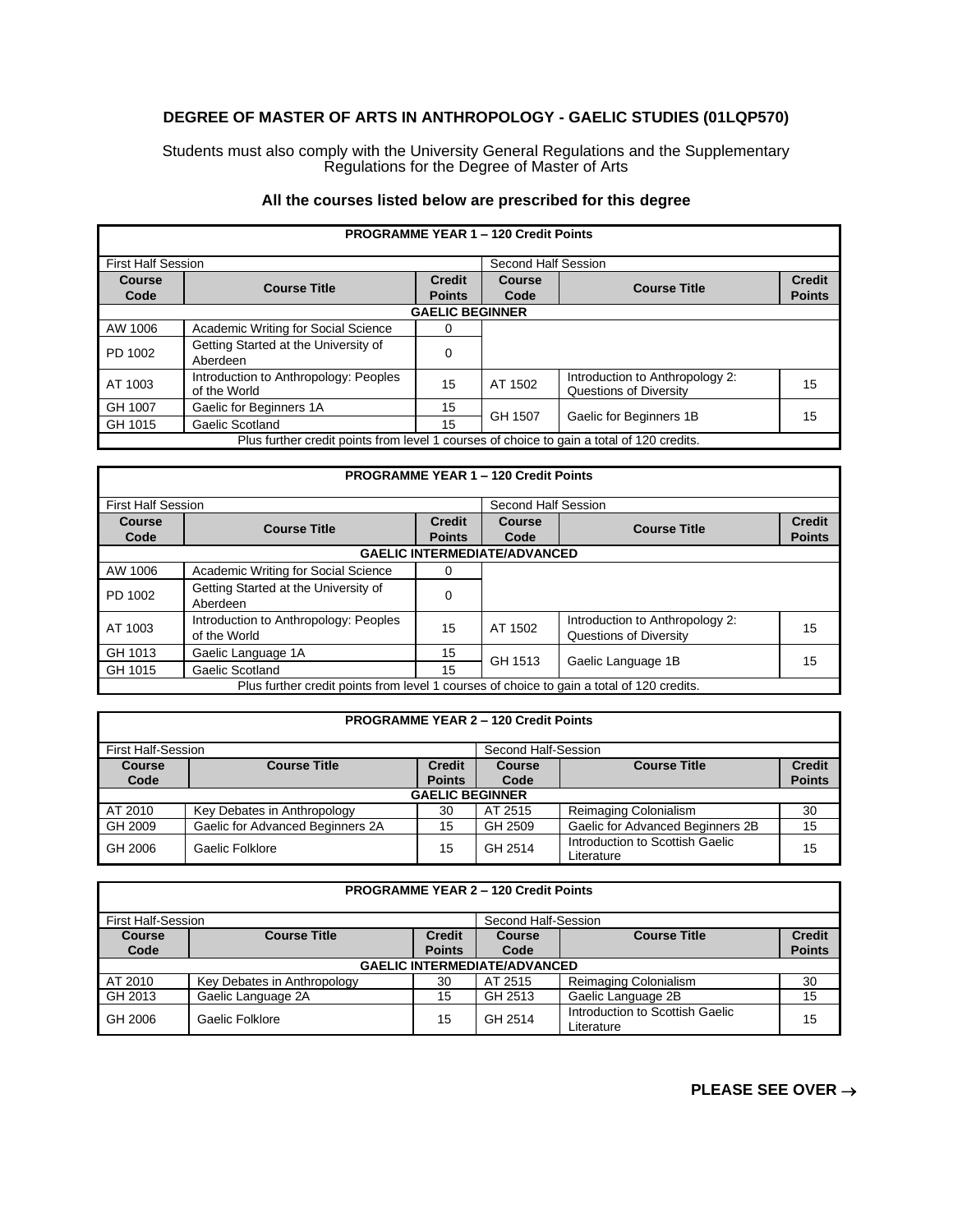### **DEGREE OF MASTER OF ARTS IN ANTHROPOLOGY - GAELIC STUDIES (01LQP570)**

Students must also comply with the University General Regulations and the Supplementary Regulations for the Degree of Master of Arts

### **All the courses listed below are prescribed for this degree**

| <b>PROGRAMME YEAR 1 - 120 Credit Points</b>                                               |                                                       |                                |                |                                                           |                                |  |  |
|-------------------------------------------------------------------------------------------|-------------------------------------------------------|--------------------------------|----------------|-----------------------------------------------------------|--------------------------------|--|--|
| <b>First Half Session</b><br>Second Half Session                                          |                                                       |                                |                |                                                           |                                |  |  |
| Course<br>Code                                                                            | <b>Course Title</b>                                   | <b>Credit</b><br><b>Points</b> | Course<br>Code | <b>Course Title</b>                                       | <b>Credit</b><br><b>Points</b> |  |  |
|                                                                                           | <b>GAELIC BEGINNER</b>                                |                                |                |                                                           |                                |  |  |
| AW 1006                                                                                   | Academic Writing for Social Science                   | 0                              |                |                                                           |                                |  |  |
| PD 1002                                                                                   | Getting Started at the University of<br>Aberdeen      | 0                              |                |                                                           |                                |  |  |
| AT 1003                                                                                   | Introduction to Anthropology: Peoples<br>of the World | 15                             | AT 1502        | Introduction to Anthropology 2:<br>Questions of Diversity | 15                             |  |  |
| GH 1007                                                                                   | Gaelic for Beginners 1A                               | 15                             | GH 1507        |                                                           | 15                             |  |  |
| GH 1015                                                                                   | Gaelic Scotland                                       | 15                             |                | Gaelic for Beginners 1B                                   |                                |  |  |
| Plus further credit points from level 1 courses of choice to gain a total of 120 credits. |                                                       |                                |                |                                                           |                                |  |  |

# **PROGRAMME YEAR 1 – 120 Credit Points**

| <b>First Half Session</b>                                                                 |                                                       |                                | Second Half Session                 |                                                           |                                |
|-------------------------------------------------------------------------------------------|-------------------------------------------------------|--------------------------------|-------------------------------------|-----------------------------------------------------------|--------------------------------|
| <b>Course</b><br>Code                                                                     | <b>Course Title</b>                                   | <b>Credit</b><br><b>Points</b> | <b>Course</b><br>Code               | <b>Course Title</b>                                       | <b>Credit</b><br><b>Points</b> |
|                                                                                           |                                                       |                                | <b>GAELIC INTERMEDIATE/ADVANCED</b> |                                                           |                                |
| AW 1006                                                                                   | Academic Writing for Social Science                   | 0                              |                                     |                                                           |                                |
| PD 1002                                                                                   | Getting Started at the University of<br>Aberdeen      | 0                              |                                     |                                                           |                                |
| AT 1003                                                                                   | Introduction to Anthropology: Peoples<br>of the World | 15                             | AT 1502                             | Introduction to Anthropology 2:<br>Questions of Diversity | 15                             |
| GH 1013                                                                                   | Gaelic Language 1A                                    | 15                             | GH 1513                             |                                                           | 15                             |
| GH 1015                                                                                   | Gaelic Scotland                                       | 15                             |                                     | Gaelic Language 1B                                        |                                |
| Plus further credit points from level 1 courses of choice to gain a total of 120 credits. |                                                       |                                |                                     |                                                           |                                |

| <b>PROGRAMME YEAR 2 - 120 Credit Points</b> |                                                  |                                |                |                                               |                                |  |
|---------------------------------------------|--------------------------------------------------|--------------------------------|----------------|-----------------------------------------------|--------------------------------|--|
|                                             | <b>First Half-Session</b><br>Second Half-Session |                                |                |                                               |                                |  |
| <b>Course</b><br>Code                       | <b>Course Title</b>                              | <b>Credit</b><br><b>Points</b> | Course<br>Code | <b>Course Title</b>                           | <b>Credit</b><br><b>Points</b> |  |
|                                             | <b>GAELIC BEGINNER</b>                           |                                |                |                                               |                                |  |
| AT 2010                                     | Key Debates in Anthropology                      | 30                             | AT 2515        | Reimaging Colonialism                         | 30                             |  |
| GH 2009                                     | Gaelic for Advanced Beginners 2A                 | 15                             | GH 2509        | Gaelic for Advanced Beginners 2B              | 15                             |  |
| GH 2006                                     | Gaelic Folklore                                  | 15                             | GH 2514        | Introduction to Scottish Gaelic<br>Literature | 15                             |  |

| <b>PROGRAMME YEAR 2 - 120 Credit Points</b> |                                     |               |                     |                                               |               |  |
|---------------------------------------------|-------------------------------------|---------------|---------------------|-----------------------------------------------|---------------|--|
| <b>First Half-Session</b>                   |                                     |               | Second Half-Session |                                               |               |  |
| <b>Course</b>                               | <b>Course Title</b>                 | <b>Credit</b> | Course              | <b>Course Title</b>                           | <b>Credit</b> |  |
| Code                                        |                                     | <b>Points</b> | Code                |                                               | <b>Points</b> |  |
|                                             | <b>GAELIC INTERMEDIATE/ADVANCED</b> |               |                     |                                               |               |  |
| AT 2010                                     | Key Debates in Anthropology         | 30            | AT 2515             | Reimaging Colonialism                         | 30            |  |
| GH 2013                                     | Gaelic Language 2A                  | 15            | GH 2513             | Gaelic Language 2B                            | 15            |  |
| GH 2006                                     | Gaelic Folklore                     | 15            | GH 2514             | Introduction to Scottish Gaelic<br>Literature | 15            |  |

## **PLEASE SEE OVER** →